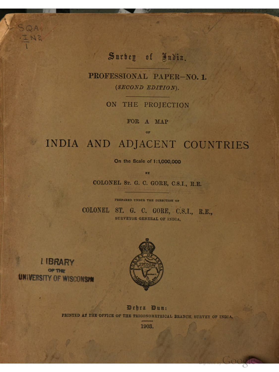## Surbey of India.

PROFESSIONAL PAPER-NO. 1.  $(SECOND$   $EDITION$ .

ON THE PROJECTION

FOR A MAP

OF

# INDIA AND ADJACENT COUNTRIES

On the Scale of 1:1,000,000

BY COLONEL ST. G. C. GORE, C.S.I., R.E.

PREPARED UNDER THE DIRECTION OF

COLONEL ST. G. C. GORE, C.S.I., R.E., SURVEYOR GENERAL OF INDIA.

**LIBRARY** OF THE **UNIVERSITY OF WISCONSIN** 



Dehra Dun: PRINTED AT THE OFFICE OF THE TRIGONOMETRICAL BRANCH, SURVEY OF INDIA.

1903.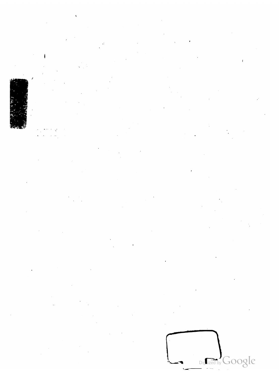$\bar{t}$ 

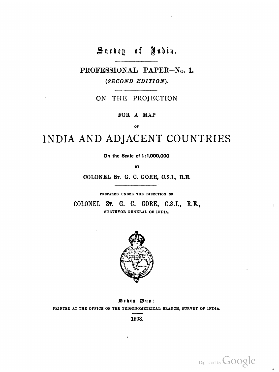## Surbey of India.

## PROFESSIONAL PAPER-No. 1. *(SECOND EDITION).*

### ON THE PROJECTION

### **FOR A MAP**

**O?** 

## INDIA AND ADJACENT COUNTRIES

**On the Scale of 1** : **1,000,000** 

**BY** 

**COLONEL ST.** *G.* **C. GORE, C.S.I., R.E.** 

**PREPARED UNDER THE DIBECTION OP** 

COLONEL ST. G. C. GORE, C.S.I., R.E., **SURVEYOB QESEBAL OF INDIA.** 



**mebra Bun: PBINTGD AT THE OFFICE OF THE TRIQONOMETBICAL BRANCH, SURVEY OF INDIA.**  : a Dun :<br>: a Dun :<br>0NOMETRIC.<br>1903.

**1903.** 



 $\mathbf{I}$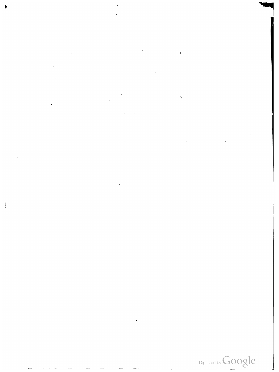$\bar{\mathcal{A}}$ 

۱,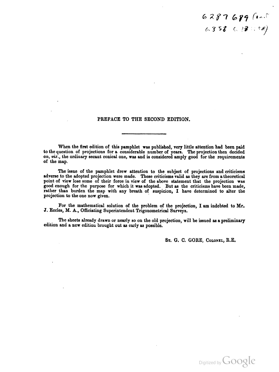$6287689$  (and  $6358622$ 

### **PREFACE TO THE SECOND EDITION.**

When the first edition of this pamphlet was published, very little attention had been paid to the question of projections for a considerable number of years. The projection then decided on, viz., the ordinary secant conical one, was and is considered amply good for the requirements of the map.

The issue of the pamphlet drew attention to the subject of projections and criticisma adverse to the adopted projection were made. These criticisms valid as they are from a theoretical point of view lose some of their force in view of the above statement that the projection was good enough for the purpose for which it **was** adopted. But as the criticisms have been made, rather than burden the map with any breath of suspicion, I have determined to alter the projection to the one now given.

For the mathematical solution of the problem of the projection, I am indebted to Mr. J. Eccles, M. A., Officiating Superintendent Trigonometrical Surveys.

The sheets already drawn or nearly so on the old projection, will be issued **aa** a preliminary edition and a new edition brought out as early as possible.

ST. G. C. GORE, COLONEL, **R.E.** 

Digitized by **Google**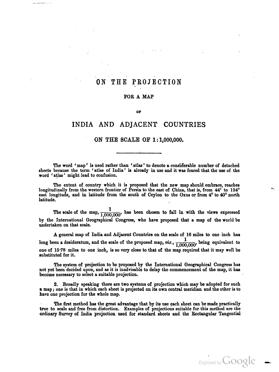### **ON THE PROJECTION**

#### FOR A MAP

**OP** 

### INDIA AND ADJACENT COUNTRIES

#### **ON THE SCALE OF 1** : **1,000,000,**

The word 'map' is used rather than 'atlas' to denote a considerable number of detached sheets because the term 'atlas of India' is already in use and it was feared that the use of the word 'atlas' might lead to confusion.

The extent of country which it **ia** proposed that the new map should embrace, reaches longitudinally from the western frontier of Persia to the east of China, that is, from  $44^{\circ}$  to  $124^{\circ}$ east longitude, and in latitude from the south of Ceylon to the Oxus or from 4° to 40° north latitude.

The scale of the map,  $\frac{1}{1,000,000}$ , has been chosen to fall in with the views expressed by the International Geographical Congress, who have proposed that a map of the world be undertaken on that scale.

A general map of India and Adjacent Countries on the scale of 16 **miles** to one inch has long been a desideratum, and the scale of the proposed map, viz.,  $\frac{1}{1,000,000}$ , being equivalent to one of **16-78** miles to one inch, is so very close to that of the map required that it may well be substituted for it.

The system of projection to be proposed by the International Geographical Congress has not yet been decided upon, and as it is inadvisable to delay the commencement of the map, it has become necessary to select a suitable projection.

2. Broadly speaking there are two systems of projection which may be adopted for such a map ; one is that in which each sheet is projected on its own central meridian and the other ia to have one projection for the whole map.

The first method has the great advantage that by its use each sheet can be made practically true to scale and free from distortion. Examples of projections suitable for this method are the ordinary **Survey** of India projection used for standard sheets and the Rectangular Tangential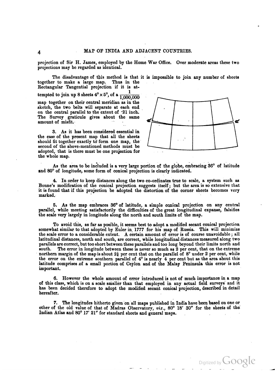projection of Sir H. James, employed by the Home War Office. Over moderate areas these two projections may be regarded as identical.

The disadvantage of this method is that it **ia** impossible to join **any** number of sheets together to make a large map. Thus **in** the Rectangular Tangential projection if it is at-

tempted to join up 8 sheets  $4^{\circ} \times 5^{\circ}$ , of a  $\frac{1}{1,000,000}$ map together on their central meridian **as** in the sketch, the two belts will separate at each end on the central parallel to the extent of **-21** inch. The Survey graticule gives about the same amount of misfit.

**3.** As it has been considered essential in the case of the present map that all the sheets should fit together exactly to form one map, the second of the above-mentioned methods must be adopted, that is there must be one projection for the whole map.



Digitized by **Google** 

As the area to be included is a very large portion of the globe, embracing  $36^{\circ}$  of latitude and 80° of longitude, some form of conical projection is clearly indicated.

4. In order to keep distances along the two co-ordinates true to scale, a system such **as**  Bonne's modification of the conical projection suggests itself; but the area is so extensive that it is found that if this projection be adopted the distortion of the corner sheets becomes very marked.

**5.** As the map embraces **36'** of latitude, a simple cmical projection on any central parallel, while meeting satisfactorily the difficulties of the great lougitudinal expanse, falsifies the scale very largely in longitude along the north and south limits of the map.

To avoid this, as far **as** posible, it seems best to adopt a modified secant conical projection somewhat similar to that adopted by Euler in. **1777** for his map of Russia. This will minimize the scale error to a considerable extent. A certain amoant **of** error is of course unavoidable ; all latitudinal distances, north and south, are correct, while longitudinal distances measured along two parallels are correct, but too short between these parallels and too long beyond their limits north and south. The error in longitude between these is never so much as 2 per cent, that on the extreme northern margin of the map is about **24** per cent that on the parallel of **8"** uuder 2 per cent, while the error on the extreme southern parallel of  $4^{\circ}$  is nearly 4 per cent but as the area about this latitude comprises of a small portion of Ceylon and of the Malay Peninsula this error is not important.

**6.** However the whole amount of error introduced is not of much importance in a map of this class, which is on a scale smaller than that employed in any actual field surveys and it has been decided therefore to adopt the modified secant conical projection, described in detail hereafter.

**7.** The longitudes hitherto given on all maps published in India have been based on one or other of the old value of that of Madras Observatory, *viz.,* **80°** 18' 30" for the sheets of the Indian Atlas and 80' 17' 21" for standard sheets and general maps.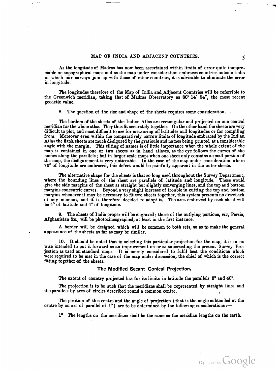#### MAP OF INDIA AKD ADJACENT COUNTRIES.

As the longitude of Madras has now been ascertained within limits of error quite inappreciable on topographical maps and as the map under consideration embraces countries outside India in which onr surveys join up with those of other countries, it is advisable to eliminate the error in longitude.

The longitudes therefore of the Map of India and Adjacent Countries will be referrible to the Greenwich meridian, taking that of Madras Observatory as **80'** 14' 54", the most recent geodetic value.

8. The question of the size and shape of the sheets requires some consideration.

The borders of the sheets of the Indian Atlas are rectangular and projected on one central meridian forthe whole atlas. They thus fit accurately together. On the other hand the sheets are very difficult to plot, and most difficult to use for measuring off latitudes and longitudes or for compiling from. Moreover even within the comparatively narrow limits of longitude embraced by the Indian Atlas the flank sheets are much disfigured by the graticule and names being printed at a considerable angle with the margin. This tilting of names is of little importance when the whole extent of the map is contained in one or two sheets as in hand atlases, as the eye follows the curves of the names along the parallels ; but in larger scale maps when one sheet only contains a small portion of the map, the disfigurement is very noticeable. In the case of the map under consideration where **76"** of longitude are embraced, this defect would be painfully apparent in the outer sheets.

. The alternative shape for the sheets is that so long used throughout the Survey Department, where the bounding lines of the sheet are parallels of latitude and longitude. These would give the side margins of the sheet as straight but slightly converging lines, and the top and bottom mnrgins concentric curves. Beyond a very slight increase of trouble in cutting the top and bottom margins whenever it may be necessary to fit two sheets together, this system presents no drawback of any moment, and it is therefore decided to adopt it. The area embraced by each sheet will be **4'** of latitude and **4O** of longitude.

9. The sheets of India proper will be engraved; those of the outlying portions,  $viz$ , Persia, Afghanistan &c., will be photozincographed, at least in the first instance.

A border will be designed which will be common to both sets, so as to make the general appearance of the sheets **aa** far **aa** may be similar.

**10.** It should be noted that in selecting this particular projection for the map, it is in no wise intended to put it forward **as** an improvement on or as superseding the present Survey Projection as used on standard maps. It is merely considered to fulfil best the conditions which were required to be met in the case of the map under discussion, the chief of which is the correct fitting together of the sheets.

#### **The Modified Secant Conical Projection.**

The extent of country projected has for its limits in latitude the parallels **8'** and **40'.** 

The projection is to be such that the meridians ehall be represented by straight lines and the parallels by arcs of circles described round a common centre.

The position of this centre and the angle of projection (that is the angle subtended at the centre by an arc of parallel of  $1^{\circ}$ ) are to be determined by the following considerations :-

**lo** The lengths on the meridians shall be the same **as** the meridian lengths on the earth.

 $\mathbf{5}$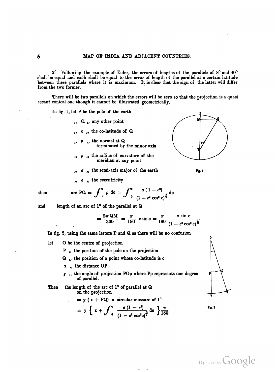**2'** Following the example.of Euler, the errors of lengths of the parallels of **8'** and 406 shall be equal and each shall be equal to the error of length of the parallel at a certain latitude between these parallels where it is maximum. It is clear that the sign of the latter will differ from the two former.

There will be two parallels on which the errors will be zero so that the projection is a quasi secant conical one though it cannot be illustrated geometrically.

In fig. 1, let P be the pole of the earth

- ,, **Q** ,, **any** other point ,, c ,, the co-latitude of **<sup>Q</sup>** ,, **v** ,, the normal at **<sup>Q</sup>** terminated by the minor axie
- $, \rho, \rho,$  the radius of curvature of the meridian at any point
- ,, the semi-axis major of the earth **here** 1
- ,, the eccentricity

$$
\text{arc PQ} = \int_{0}^{\infty} \rho \, \mathrm{d}\mathrm{c} = \int_{0}^{\infty} \frac{a (1 - e^{a})}{(1 - e^{a} \cos^{2} c)^{\frac{3}{2}}} \, \mathrm{d}c
$$

and length of an arc of **1'** of the parallel at Q

$$
(1 - e^{3} \cos^{2} c)^{\frac{1}{2}}
$$
  
1° of the parallel at Q  

$$
= \frac{2\pi \text{ QM}}{360} = \frac{\pi}{180} \text{ y} \sin c = \frac{\pi}{180} \frac{a \sin c}{(1 - e^{3} \cos^{3} c)^{\frac{1}{2}}}.
$$

In fig. 2, using the same lettera P and Q **ae** there will be no confusion

let **0** be the centre of projection

<sup>P</sup>,, the position of the pole on the projection

**<sup>8</sup>**,, the position of a point whose co-latitude is c

- **<sup>x</sup>**,, the distance OP
- **y**, the angle of projection POp where Pp represents one degree of parallel.
- Then the length of the arc of **1'** of parallel at **Q**  on the projection

$$
= y (x + PQ) \times circular measure of 1^{\circ}
$$

= 
$$
y \left\{ x + \int_0^{\infty} \frac{a (1 - e^2)}{(1 - e^2 \cos^2 c)^{\frac{3}{2}}} dc \right\} \frac{\pi}{180}
$$









Digitized by **GOOGIC** 

then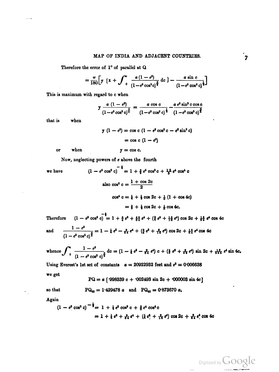Therefore the error of 1° of parallel at Q

$$
= \frac{\pi}{180}\left[y \left\{x + \int_{0}^{\infty} \frac{a(1-e^{2})}{(1-e^{2}\cos^{2}c)^{\frac{3}{2}}} \,dc\right\} - \frac{a \sin c}{(1-e^{2}\cos^{2}c)^{\frac{1}{2}}}\right]
$$

This is maximum with regard to c when

$$
y \frac{a (1 - e^{3})}{(1 - e^{3} \cos^{3} \theta)^{\frac{3}{2}}} = \frac{a \cos c}{(1 - e^{3} \cos^{2} c)^{\frac{1}{2}}} - \frac{a e^{3} \sin^{3} c \cos c}{(1 - e^{3} \cos^{3} c)^{\frac{3}{2}}}
$$

that is when

 $\ddotsc$ 

 $\ddot{\phantom{a}}$ 

$$
y(1 - e^2) = \cos c (1 - e^2 \cos^2 c - e^2 \sin^2 c)
$$
  
=  $\cos c (1 - e^2)$ 

or when  $y = \cos c$ .

Now, neglecting powere of e above the fourth

we have 
$$
(1 - e^3 \cos^3 c)^{-\frac{1}{3}} = 1 + \frac{3}{2}e^3 \cos^3 c + \frac{15}{8}e^4 \cos^4 c
$$
  
\nalso  $\cos^3 c = \frac{1 + \cos 2c}{2}$   
\n $\cos^4 c = \frac{1}{4} + \frac{1}{2} \cos 2c + \frac{1}{2}(1 + \cos 4c)$   
\n $= \frac{3}{8} + \frac{1}{2} \cos 2c + \frac{1}{2} \cos 4c$ .  
\nTherefore  $(1 - e^3 \cos^2 c)^{\frac{1}{2}} = 1 + \frac{3}{4}e^3 + \frac{4}{84}e^4 + (\frac{3}{4}e^3 + \frac{15}{16}e^4) \cos 2c + \frac{15}{84}e^4 \cos 4c$   
\nand  $\frac{1 - e^3}{(1 - e^3 \cos^3 c)^{\frac{3}{2}}} = 1 - \frac{1}{4}e^3 - \frac{3}{84}e^4 + (\frac{3}{4}e^3 + \frac{3}{16}e^4) \cos 2c + \frac{15}{64}e^4 \cos 4c$   
\nwhence  $\int_0^c \frac{1 - e^3}{(1 - e^3 \cos^3 c)^{\frac{3}{2}}}\,d c = (1 - \frac{1}{4}e^3 - \frac{3}{64}e^4) c + (\frac{3}{8}e^4 + \frac{3}{34}e^4) \sin 2c + \frac{15}{45}e^4 \sin 4c$ .  
\nUsing Everest's 1st set of constants  $a = 20922932$  feet and  $e^3 = 0.006638$   
\nwe get  $PQ = a \{998339 c + 002493 \sin 2c + 000003 \sin 4c\}$   
\nso that  $PQ_{eq} = 1.429478 a$  and  $PQ_{eq} = 0.873670 a$ ,  
\nAgain

$$
(1 - e3 cos3 c) = 1 = 1 + \frac{1}{2}e3 cos3 c + \frac{3}{8}e4 cos4 c
$$
  
= 1 + \frac{1}{4}e<sup>3</sup> + \frac{9}{64}e<sup>4</sup> + (\frac{1}{4}e<sup>3</sup> + \frac{3}{16}e<sup>4</sup>) cos 2c + \frac{3}{64}e<sup>4</sup> cos 4c

.<br>7

 $\bullet$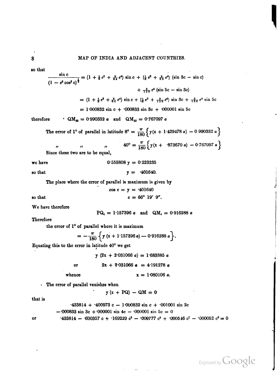so that

ain c

$$
\frac{\sin c}{(1 - e^2 \cos^2 c)^{\frac{1}{2}}} = (1 + \frac{1}{4}e^2 + \frac{9}{64}e^4) \sin c + (\frac{1}{8}e^2 + \frac{3}{32}e^4) (\sin 3c - \sin c)
$$
  
+  $\frac{3}{128}e^4 (\sin 5c - \sin 3c)$   
=  $(1 + \frac{1}{8}e^3 + \frac{3}{64}e^4) \sin c + (\frac{1}{8}e^2 + \frac{9}{128}e^4) \sin 3c + \frac{3}{128}e^4 \sin 5c$   
= 1.000832 sin c + .000833 sin 3c + .000001 sin 5c  
for

therefore  $\mathbf{QM}_{83} = 0.990332 \text{ a and } \mathbf{QM}_{50} = 0.767097 \text{ a}$ 

The error of 1° of parallel in latitude  $8^\circ = \frac{\pi}{180} \left\{ y(x + 1.429478 a) - 0.990332 a \right\}$  $J_y$   $J_y$   $40^\circ = \frac{\pi}{180} \left\{ y(x + 873670 a) - 0.767097 a \right\}$ 

Since these two are to be equal,

we have **0.555808**  $y = 0.223235$ 

so that  $y = 401640$ .

The place where the error of parallel **is** maximum is given by

 $\cos c = y = 401640$ so that  $c = 66^{\circ} 19' 9''.$ 

We have therefore

$$
PQ_c = 1.157396 a
$$
 and  $QM_c = 0.916288 a$ 

Therefore

the error of 1<sup>o</sup> of parallel where it is maximum  
= 
$$
-\frac{\pi}{180} \{ y (x + 1.157396 a) - 0.916288 a \}.
$$

Equating this to the error in lafitude **40'** we get

$$
y (2x + 2.031066 a) = 1.683385 a
$$
  

$$
2x + 2.031066 a = 4.191278 a
$$

whence  $x = 1.080106 a$ .

or

The error of parallel vanishes when

 $y(x + PQ) - QM = 0$ 

that is

 $\cdot$ **433814** +  $\cdot$ **400973** c - **1** $\cdot$ 000832 sin c +  $\cdot$ 001001 sin 2c  $-000833 \sin 3c + 000001 \sin 4c - 000001 \sin 5c = 0$  $\cdot$ **433814** -  $\cdot$ **600357 c**  $+ \cdot$ **169229 c<sup>3</sup>** -  $\cdot$ **009777 c<sup>6</sup>** +  $\cdot$ **000546 c<sup>7</sup> -**  $\cdot$ **000052 c**<sup>9</sup> = **0** 

or

Digitized by **GOOGIC** 

8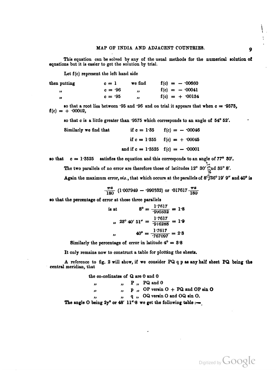This equation can be solved by any of the usual methods for the numerical solution of equations but it **ia** easier to get the solution by trial.

Let  $f(c)$  represent the left hand side

then putting  $c=1$  we find  $f(c) = -0.00660$ **then putting**  $c = 1$  we find  $f(c) = -0.00660$ <br>  $\therefore$   $c = 0.96$ <br>  $\therefore$   $c = 0.95$   $\therefore$   $f(c) = +0.00134$ **b c** =  $\cdot$ 95 **b I**(c) =  $+$   $\cdot$ 00134

so that a root lies between  $.95$  and  $.96$  and on trial it appears that when  $c = .9575$ ,  $f(c) = + 00002$ ,

so that c is a little greater than  $.9575$  which corresponds to an angle of  $54^{\circ}$   $52'.$ 

Similarly we find that if  $c = 1.35$   $f(c) = -0.0046$ if  $c = 1.355$   $f(c) = +.00045$ <br>and if  $c = 1.3525$   $f(c) = -.00001$ 

so that  $c = 1.3525$  satisfies the equation and this corresponds to an angle of  $77^\circ$  30'.

 $\frac{1}{2}$ The two parallels of no error are therefore those of latitudes  $12^{\circ}$  30'<sup>10</sup> nd 35° 8'.

Again the maximum error, **viz.,** that which occurs at the parallels of 8'36' **19' 9"** and **40° ia** 

$$
\frac{\pi a}{180} \left(1.007949 - 990332\right) \text{ or } 0.017617 \frac{\pi a}{180}
$$

ao that the percentage of error at these three parallels

is at 
$$
8^\circ = \frac{1.7617}{.990332} = 1.8
$$
  
\n $\frac{1.7617}{.916288} = 1.9$   
\n $\frac{1.7617}{.916288} = 1.9$   
\n $\frac{40^\circ}{.767097} = 2.8$ 

Similarly the percentage of error in latitude  $4^{\circ} = 3.8$ 

It only remains now to construct a table for plotting the sheeta.

A reference to fig. 2 will show, if we consider PQ q p as any half sheet PQ being the central meridian, that

the co-ordinates of **Q** are **0** and 0 **,J** ,, P ,, PQandO  $\alpha$ , p,  $\beta$ ,  $\beta$  op versin  $0 + PQ$  and  $OP \sin O$ **<sup>11</sup>**,, q ,, 08 vermin 0 and 0Q sin 0. The angle O being  $2y^{\circ}$  or  $48'$  11"<sup>8</sup> we get the following table  $:=$ 



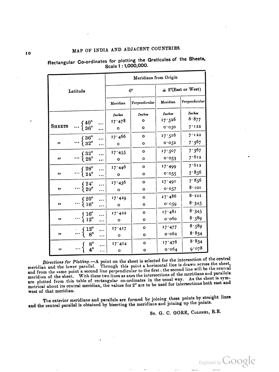## MAP OF INDIA AND ADJACENT COUNTRIES.

| Latitude      |                                                                                       |                | Meridians from Origin |               |                        |               |  |
|---------------|---------------------------------------------------------------------------------------|----------------|-----------------------|---------------|------------------------|---------------|--|
|               |                                                                                       |                | $0^{\circ}$           |               | $\pm$ 2°(East or West) |               |  |
|               |                                                                                       |                | Meridian              | Perpendicular | Meridian               | Perpendicular |  |
|               |                                                                                       |                | Inches                | Inches        | Inches                 | Inches        |  |
|               |                                                                                       |                | 17.478                | $\circ$       | 17.526                 | 6.877         |  |
| <b>SHEETS</b> | $\cdots \begin{cases} 40^{\circ} \\ 36^{\circ} \end{cases}$                           | .              | O                     | ٥             | 0.050                  | 7.122         |  |
|               |                                                                                       |                | 17.466                | $\mathbf{o}$  | 17.516                 | 7.122         |  |
| ,,            | $\ldots \begin{cases} 36^{\circ} \\ 32^{\circ} \end{cases}$                           | <br>           | O                     | O             | 0.052                  | 7.367         |  |
|               |                                                                                       |                | 17.455                | O             | 17.507                 | 7.367         |  |
| ,,            | $\ldots \begin{cases} 32^{\circ} \\ 28^{\circ} \end{cases}$                           |                | o                     | $\circ$       | 0.053                  | 7.612         |  |
|               |                                                                                       |                | 17.446                | $\circ$       | 17'399                 | 7.612         |  |
| ,,            | $\cdots \left\{\n \begin{array}{c}\n 28^{\circ} \\ 24^{\circ}\n \end{array}\n\right.$ | $\cdots$       | O                     | O             | 0.055                  | 7.856         |  |
|               |                                                                                       |                | 17.436                | $\circ$       | 17.491                 | 7.856         |  |
| ,,            | $\cdots \begin{cases} 24^{\circ} \\ 20^{\circ} \end{cases}$                           | $\ddotsc$<br>. | o                     | $\circ$       | 0.057                  | 8.101         |  |
|               |                                                                                       | .              | 17.429                | $\circ$       | 17.486                 | 8.101         |  |
| ,,            | $\cdots \begin{cases} 20^{\circ} \\ 16^{\circ} \end{cases}$                           | $\ddotsc$      | $\circ$               | o             | 0.059                  | 8.345         |  |
| ,,            | $\cdots \begin{cases} 16^{\circ} \\ 12^{\circ} \end{cases}$                           | $\ddotsc$      | 17'422                | $\circ$       | 17.481                 | 8.345         |  |
|               |                                                                                       | $\ddotsc$      | o                     | $\circ$       | $o$ · $o$ რი           | 8.589         |  |
| ,,            | $\left\{\n \begin{array}{c}\n 12^{\circ} \\ 8^{\circ}\n \end{array}\n\right.$         | .              | 17.417                | $\circ$       | 17'37                  | 8.589         |  |
|               |                                                                                       | $\cdots$       | ۰                     | $\circ$       | 0.003                  | 8.834         |  |
|               |                                                                                       |                | 17.414                | $\circ$       | 17.476                 | 8.834         |  |
| ,,            | $8^\circ$<br>$4^\circ$                                                                | $\cdots$       | $\circ$               | $\circ$       | o.064                  | 9.078         |  |

Rectangular Co-ordinates for plotting the Graticules of the Sheets, Scale 1:1,000,000.

Directions for Plotting.—A point on the sheet is selected for the intersection of the central<br>meridian and the lower parallel. Through this point a horizontal line is drawn across the sheet,<br>and from the same point a secon meridian of the sheet. With these two lines as axes the intersections of the meridians and parallels are plotted from this table of rectangular co-ordinates in the usual way. As the sheet is sym-<br>metrical about its central meridian, the values for 2° are to be used for intersections both east and west of that meridian.

The exterior meridians and parallels are formed by joining these points by straight lines and the central parallel is obtained by bisecting the meridians and joining up the points.

ST. G. C. GORE, COLONEL, R.E.

Digitized by **GOOgle** 

10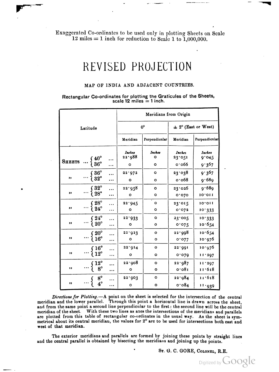Exaggerated Co-ordinates to be used only in plotting Sheets on Scale 12 miles  $=$  1 inch for reduction to Scale 1 to 1,000,000.

## REVISED PROJECTION

#### MAP OF INDIA AND ADJACENT COUNTRIES.

Rectangular Co-ordinates for plotting the Graticules of the Sheets,<br>scale 12 miles = 1 inch.

|           |                                                                                | Meridians from Origin |                  |               |                                |                 |
|-----------|--------------------------------------------------------------------------------|-----------------------|------------------|---------------|--------------------------------|-----------------|
| Latitude  |                                                                                |                       | 0 <sup>°</sup>   |               | $\pm 2^{\circ}$ (East or West) |                 |
|           |                                                                                |                       | Meridian         | Perpendicular | Meridian                       | Perpendicular   |
|           |                                                                                |                       | Inches<br>22.988 | Inches<br>O   | Inches<br>23.051               | Inches<br>9'045 |
|           | SHEETS $\left\{{}^{40}_{80}\right\}$                                           |                       | O                | $\circ$       | 0.066                          | 9.367           |
|           |                                                                                |                       | 22.972           | $\circ$       | 23.038                         | 9.367           |
| ,,        | $\cdots \Big\{ \begin{smallmatrix} 36^\circ\\ 32^\circ \end{smallmatrix}$      |                       | $\circ$          | $\circ$       | 0.068                          | 9.689           |
| ,,        | $\cdots \begin{cases} 32^{\circ} \\ 28^{\circ} \end{cases}$                    |                       | 22.958           | $\circ$       | 23.026                         | 9.689           |
|           |                                                                                | $\cdots$              | $\mathbf{o}$     | O             | 0.020                          | 10.011          |
| $\bullet$ | $\cdots \begin{cases} 28^{\circ} \\ 24^{\circ} \end{cases}$                    |                       | 22.945           | o             | 23.015                         | 10.011          |
|           |                                                                                | .                     | O                | o             | 0.0272                         | 10.333          |
| ,,        | $\cdots \begin{cases} 24^{\circ} \\ 20^{\circ} \end{cases}$                    |                       | 22.933           | $\circ$       | 23'005                         | 10.333          |
|           |                                                                                | $\ddotsc$             | $\circ$          | $\mathbf{o}$  | 0.075                          | 10.654          |
| ,,        | $\ldots \, \Bigl\{ \begin{smallmatrix} 20^\circ \\ 16^\circ \end{smallmatrix}$ | .                     | 22.923           | $\mathbf{o}$  | 22.998                         | 10.654          |
|           |                                                                                |                       | O                | $\circ$       | 0.072                          | 10.000          |
| ,,        |                                                                                | .                     | 22.914           | $\mathbf{o}$  | 22.991                         | 10.976          |
|           | $\cdots \begin{cases} 16^{\circ} \\ 12^{\circ} \end{cases}$                    | .                     | $\mathbf{o}$     | $\circ$       | 0.020                          | 11.297          |
| ,,        | $\cdots \begin{cases} 12^{\circ} \\ 8^{\circ} \end{cases}$                     |                       | 22.908           | O             | 22.987                         | 11:297          |
|           |                                                                                |                       | $\circ$          | $\circ$       | 0.081                          | 11.618          |
| "         | $\frac{8}{4}^{\circ}$                                                          |                       | 22.903           | $\circ$       | 22.084                         | 11.618          |
|           |                                                                                |                       | $\circ$          | $\circ$       | 0.084                          | 11.939          |

Directions for Plotting. - A point on the sheet is selected for the intersection of the central meridian and the lower parallel. Through this point a horizontal line is drawn across the sheet, and from the same point a second line perpendicular to the first: the second line will be the central meridian of the sheet. With these two lines as axes the intersections of the meridians and parallels are plotted from this table of rectangular co-ordinates in the usual way. As the sheet is symmetrical about its central meridian, the values for 2° are to be used for intersections both east and west of that meridian.

The exterior meridians and parallels are formed by joining these points by straight lines and the central parallel is obtained by bisecting the meridians and joining up the points.

ST. G. C. GORE, COLONEL, R.E.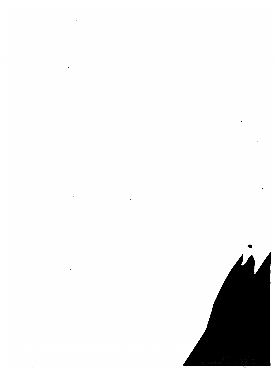$\label{eq:2.1} \frac{1}{\sqrt{2\pi}}\left(\frac{1}{\sqrt{2\pi}}\right)^{2/3}\frac{1}{\sqrt{2\pi}}\left(\frac{1}{\sqrt{2\pi}}\right)^{2/3}\frac{1}{\sqrt{2\pi}}\left(\frac{1}{\sqrt{2\pi}}\right)^{2/3}\frac{1}{\sqrt{2\pi}}\left(\frac{1}{\sqrt{2\pi}}\right)^{2/3}\frac{1}{\sqrt{2\pi}}\left(\frac{1}{\sqrt{2\pi}}\right)^{2/3}\frac{1}{\sqrt{2\pi}}\frac{1}{\sqrt{2\pi}}\frac{1}{\sqrt{2\pi}}\frac{1}{\sqrt{2\$  $\label{eq:2.1} \mathcal{L}(\mathcal{L}^{\mathcal{L}}_{\mathcal{L}}(\mathcal{L}^{\mathcal{L}}_{\mathcal{L}})) \leq \mathcal{L}(\mathcal{L}^{\mathcal{L}}_{\mathcal{L}}(\mathcal{L}^{\mathcal{L}}_{\mathcal{L}})) \leq \mathcal{L}(\mathcal{L}^{\mathcal{L}}_{\mathcal{L}}(\mathcal{L}^{\mathcal{L}}_{\mathcal{L}}))$ 

 $\label{eq:2.1} \begin{split} \mathcal{L}_{\text{max}}(\mathbf{r}) = \mathcal{L}_{\text{max}}(\mathbf{r}) \mathcal{L}_{\text{max}}(\mathbf{r}) \end{split}$  $\label{eq:2.1} \frac{1}{\sqrt{2}}\int_{\mathbb{R}^3}\frac{1}{\sqrt{2}}\left(\frac{1}{\sqrt{2}}\right)^2\frac{1}{\sqrt{2}}\left(\frac{1}{\sqrt{2}}\right)^2\frac{1}{\sqrt{2}}\left(\frac{1}{\sqrt{2}}\right)^2\frac{1}{\sqrt{2}}\left(\frac{1}{\sqrt{2}}\right)^2.$ 

 $\frac{1}{2}$ 

 $\label{eq:2.1} \frac{1}{\sqrt{2}}\int_{\mathbb{R}^3}\frac{1}{\sqrt{2}}\left(\frac{1}{\sqrt{2}}\right)^2\frac{1}{\sqrt{2}}\left(\frac{1}{\sqrt{2}}\right)^2\frac{1}{\sqrt{2}}\left(\frac{1}{\sqrt{2}}\right)^2\frac{1}{\sqrt{2}}\left(\frac{1}{\sqrt{2}}\right)^2.$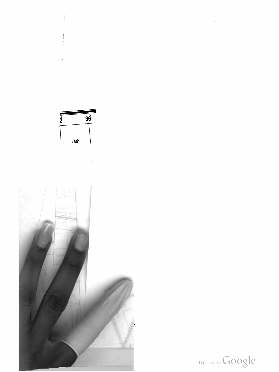





 $\ddot{\phantom{0}}$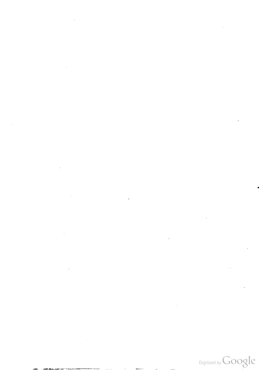$\label{eq:2.1} \frac{1}{\sqrt{2}}\int_{\mathbb{R}^3}\frac{d\mu}{\sqrt{2}}\left(\frac{d\mu}{\mu}\right)^2\frac{d\mu}{\mu}\left(\frac{d\mu}{\mu}\right)^2\frac{d\mu}{\mu}\left(\frac{d\mu}{\mu}\right)^2.$ 

 $\label{eq:2.1} \frac{1}{\sqrt{2}}\int_{\mathbb{R}^3}\frac{1}{\sqrt{2}}\left(\frac{1}{\sqrt{2}}\right)^2\left(\frac{1}{\sqrt{2}}\right)^2\left(\frac{1}{\sqrt{2}}\right)^2\left(\frac{1}{\sqrt{2}}\right)^2\left(\frac{1}{\sqrt{2}}\right)^2.$ 

 $\frac{1}{2}$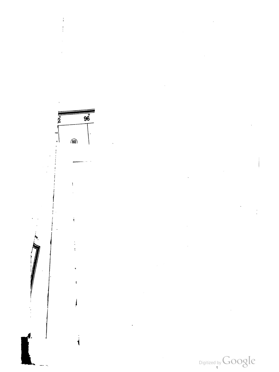

Î

Digitized by Google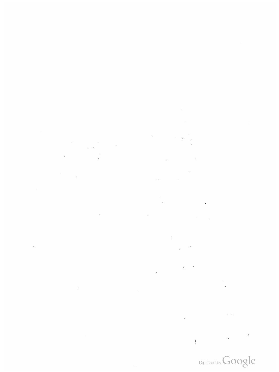$\label{eq:2.1} \frac{1}{\sqrt{2\pi}}\int_{0}^{\infty}\frac{1}{\sqrt{2\pi}}\left(\frac{1}{\sqrt{2\pi}}\right)^{2\alpha} \frac{1}{\sqrt{2\pi}}\int_{0}^{\infty}\frac{1}{\sqrt{2\pi}}\left(\frac{1}{\sqrt{2\pi}}\right)^{\alpha} \frac{1}{\sqrt{2\pi}}\frac{1}{\sqrt{2\pi}}\int_{0}^{\infty}\frac{1}{\sqrt{2\pi}}\frac{1}{\sqrt{2\pi}}\frac{1}{\sqrt{2\pi}}\frac{1}{\sqrt{2\pi}}\frac{1}{\sqrt{2\pi}}\frac{1}{\sqrt{2\$  $\frac{1}{2} \left( \frac{1}{2} \right)$ 

 $\label{eq:2.1} \mathcal{L}_{\mathcal{A}}(x) = \mathcal{L}_{\mathcal{A}}(x) + \mathcal{L}_{\mathcal{A}}(x) + \mathcal{L}_{\mathcal{A}}(x)$ 

 $\ddot{\phantom{0}}$ 

 $\mathcal{L}^{\text{max}}_{\text{max}}$  , where  $\mathcal{L}^{\text{max}}_{\text{max}}$ 

 $\ddot{\phantom{1}}$ 

 $\label{eq:2.1} \frac{1}{\sqrt{2\pi}}\sum_{i=1}^n\frac{1}{\sqrt{2\pi}}\sum_{i=1}^n\frac{1}{\sqrt{2\pi}}\sum_{i=1}^n\frac{1}{\sqrt{2\pi}}\sum_{i=1}^n\frac{1}{\sqrt{2\pi}}\sum_{i=1}^n\frac{1}{\sqrt{2\pi}}\sum_{i=1}^n\frac{1}{\sqrt{2\pi}}\sum_{i=1}^n\frac{1}{\sqrt{2\pi}}\sum_{i=1}^n\frac{1}{\sqrt{2\pi}}\sum_{i=1}^n\frac{1}{\sqrt{2\pi}}\sum_{i=1}^n\$  $\hat{\mathcal{A}}$ 

 $\mathcal{L}^{\text{max}}$ 

 $\label{eq:2.1} \frac{1}{\sqrt{2}}\left(\frac{1}{\sqrt{2}}\right)^{2} \left(\frac{1}{\sqrt{2}}\right)^{2} \left(\frac{1}{\sqrt{2}}\right)^{2} \left(\frac{1}{\sqrt{2}}\right)^{2} \left(\frac{1}{\sqrt{2}}\right)^{2} \left(\frac{1}{\sqrt{2}}\right)^{2} \left(\frac{1}{\sqrt{2}}\right)^{2} \left(\frac{1}{\sqrt{2}}\right)^{2} \left(\frac{1}{\sqrt{2}}\right)^{2} \left(\frac{1}{\sqrt{2}}\right)^{2} \left(\frac{1}{\sqrt{2}}\right)^{2} \left(\$  $\mathcal{L}^{\text{max}}_{\text{max}}$  $\label{eq:2.1} \frac{1}{\sqrt{2}}\int_{\mathbb{R}^3}\frac{1}{\sqrt{2}}\left(\frac{1}{\sqrt{2}}\right)^2\frac{1}{\sqrt{2}}\left(\frac{1}{\sqrt{2}}\right)^2\frac{1}{\sqrt{2}}\left(\frac{1}{\sqrt{2}}\right)^2.$  $\mathcal{L}_{\mathcal{A}}$ 

 $\label{eq:2.1} \frac{1}{\sqrt{2\pi}}\int_{0}^{\infty}\frac{1}{\sqrt{2\pi}}\left(\frac{1}{\sqrt{2\pi}}\right)^{2}d\mu_{\rm{eff}}\,d\mu_{\rm{eff}}$ 

 $\label{eq:2.1} \frac{1}{\sqrt{2}}\int_{\mathbb{R}^3}\frac{1}{\sqrt{2}}\left(\frac{1}{\sqrt{2}}\right)^2\frac{1}{\sqrt{2}}\left(\frac{1}{\sqrt{2}}\right)^2\frac{1}{\sqrt{2}}\left(\frac{1}{\sqrt{2}}\right)^2\frac{1}{\sqrt{2}}\left(\frac{1}{\sqrt{2}}\right)^2.$  $\mathcal{F}_{\mathcal{A}}$  $\label{eq:2.1} \frac{1}{\left(1-\frac{1}{2}\right)}\left(\frac{1}{\left(1-\frac{1}{2}\right)}\right)^{\frac{1}{2}}\left(\frac{1}{\left(1-\frac{1}{2}\right)}\right)^{\frac{1}{2}}\left(\frac{1}{\left(1-\frac{1}{2}\right)}\right)^{\frac{1}{2}}\left(\frac{1}{\left(1-\frac{1}{2}\right)}\right)^{\frac{1}{2}}\left(\frac{1}{\left(1-\frac{1}{2}\right)}\right)^{\frac{1}{2}}\left(\frac{1}{\left(1-\frac{1}{2}\right)}\right)^{\frac{1}{2}}\left(\frac{1}{\left(1-\frac$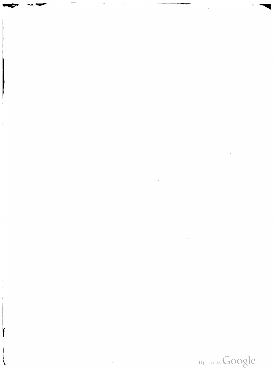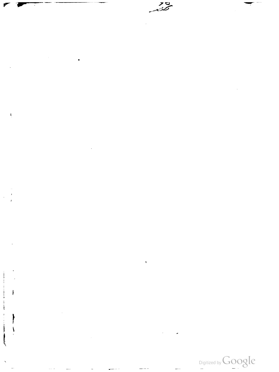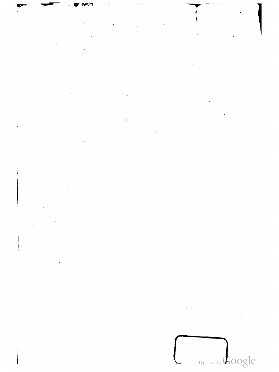$\bar{1}$ 

l,

 $\mathcal{L}^{\mathcal{L}}$ 

 $\mathcal{F}_{\mathcal{A}}$ 

 $\hat{\mathbf{v}}$